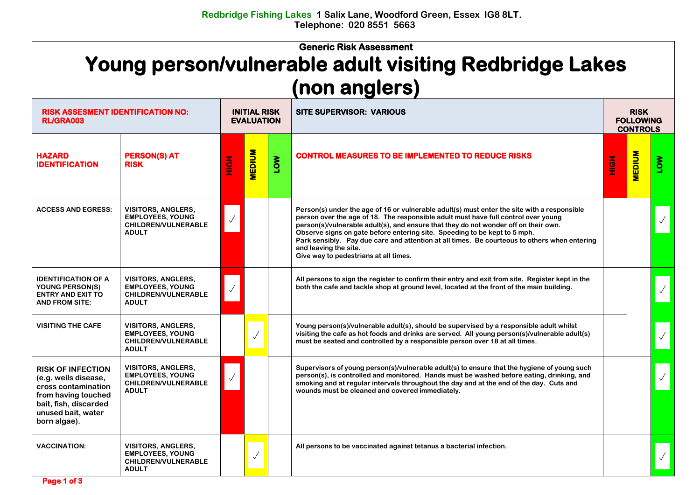## **Generic Risk Assessment Young person/vulnerable adult visiting Redbridge Lakes (non anglers)**

| <b>RISK ASSESMENT IDENTIFICATION NO:</b><br><b>RL/GRA003</b>                                                                                                  |                                                                                                    | <b>INITIAL RISK</b><br><b>EVALUATION</b> |               |            | <b>SITE SUPERVISOR: VARIOUS</b>                                                                                                                                                                                                                                                                                                                                                                                                                                                                                         |     | <b>RISK</b><br><b>FOLLOWING</b><br><b>CONTROLS</b> |     |  |
|---------------------------------------------------------------------------------------------------------------------------------------------------------------|----------------------------------------------------------------------------------------------------|------------------------------------------|---------------|------------|-------------------------------------------------------------------------------------------------------------------------------------------------------------------------------------------------------------------------------------------------------------------------------------------------------------------------------------------------------------------------------------------------------------------------------------------------------------------------------------------------------------------------|-----|----------------------------------------------------|-----|--|
| <b>HAZARD</b><br><b>IDENTIFICATION</b>                                                                                                                        | <b>PERSON(S) AT</b><br><b>RISK</b>                                                                 | <u>このこと</u>                              | <b>MEDIUM</b> | <b>NOT</b> | <b>CONTROL MEASURES TO BE IMPLEMENTED TO REDUCE RISKS</b>                                                                                                                                                                                                                                                                                                                                                                                                                                                               | HOH | <b>MEDIUM</b>                                      | Mon |  |
| <b>ACCESS AND EGRESS:</b>                                                                                                                                     | <b>VISITORS, ANGLERS,</b><br><b>EMPLOYEES, YOUNG</b><br>CHILDREN/VULNERABLE<br><b>ADULT</b>        |                                          |               |            | Person(s) under the age of 16 or vulnerable adult(s) must enter the site with a responsible<br>person over the age of 18. The responsible adult must have full control over young<br>person(s)/vulnerable adult(s), and ensure that they do not wonder off on their own.<br>Observe signs on gate before entering site. Speeding to be kept to 5 mph.<br>Park sensibly. Pay due care and attention at all times. Be courteous to others when entering<br>and leaving the site.<br>Give way to pedestrians at all times. |     |                                                    |     |  |
| <b>IDENTIFICATION OF A</b><br>YOUNG PERSON(S)<br><b>ENTRY AND EXIT TO</b><br><b>AND FROM SITE:</b>                                                            | <b>VISITORS, ANGLERS,</b><br><b>EMPLOYEES, YOUNG</b><br><b>CHILDREN/VULNERABLE</b><br><b>ADULT</b> |                                          |               |            | All persons to sign the register to confirm their entry and exit from site. Register kept in the<br>both the cafe and tackle shop at ground level, located at the front of the main building.                                                                                                                                                                                                                                                                                                                           |     |                                                    |     |  |
| <b>VISITING THE CAFE</b>                                                                                                                                      | <b>VISITORS, ANGLERS,</b><br><b>EMPLOYEES, YOUNG</b><br><b>CHILDREN/VULNERABLE</b><br><b>ADULT</b> |                                          | $\checkmark$  |            | Young person(s)/vulnerable adult(s), should be supervised by a responsible adult whilst<br>visiting the cafe as hot foods and drinks are served. All young person(s)/vulnerable adult(s)<br>must be seated and controlled by a responsible person over 18 at all times.                                                                                                                                                                                                                                                 |     |                                                    |     |  |
| <b>RISK OF INFECTION</b><br>(e.g. weils disease,<br>cross contamination<br>from having touched<br>bait, fish, discarded<br>unused bait, water<br>born algae). | <b>VISITORS, ANGLERS,</b><br><b>EMPLOYEES, YOUNG</b><br><b>CHILDREN/VULNERABLE</b><br><b>ADULT</b> |                                          |               |            | Supervisors of young person(s)/vulnerable adult(s) to ensure that the hygiene of young such<br>person(s), is controlled and monitored. Hands must be washed before eating, drinking, and<br>smoking and at regular intervals throughout the day and at the end of the day. Cuts and<br>wounds must be cleaned and covered immediately.                                                                                                                                                                                  |     |                                                    |     |  |
| <b>VACCINATION:</b>                                                                                                                                           | <b>VISITORS, ANGLERS,</b><br><b>EMPLOYEES, YOUNG</b><br><b>CHILDREN/VULNERABLE</b><br><b>ADULT</b> |                                          | $\checkmark$  |            | All persons to be vaccinated against tetanus a bacterial infection.                                                                                                                                                                                                                                                                                                                                                                                                                                                     |     |                                                    |     |  |

 **Page 1 of 3**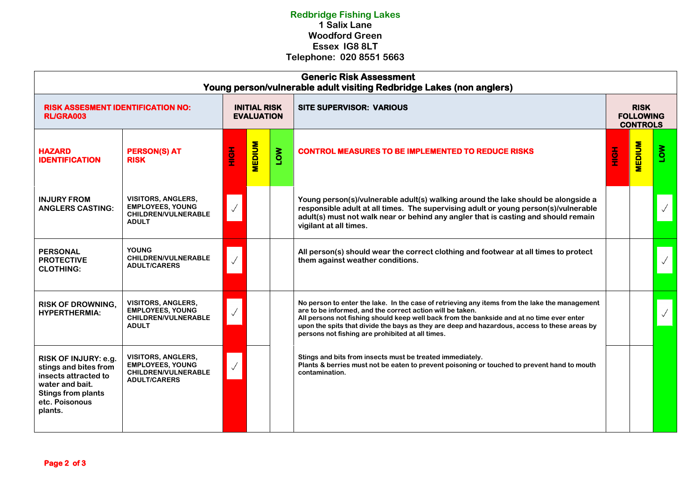## **Redbridge Fishing Lakes 1 Salix Lane Woodford Green Essex IG8 8LT Telephone: 020 8551 5663**

| <b>Generic Risk Assessment</b><br>Young person/vulnerable adult visiting Redbridge Lakes (non anglers)                                             |                                                                                                           |         |                                          |            |                                                                                                                                                                                                                                                                                                                                                                                                             |                                                    |               |    |  |
|----------------------------------------------------------------------------------------------------------------------------------------------------|-----------------------------------------------------------------------------------------------------------|---------|------------------------------------------|------------|-------------------------------------------------------------------------------------------------------------------------------------------------------------------------------------------------------------------------------------------------------------------------------------------------------------------------------------------------------------------------------------------------------------|----------------------------------------------------|---------------|----|--|
| <b>RISK ASSESMENT IDENTIFICATION NO:</b><br><b>RL/GRA003</b>                                                                                       |                                                                                                           |         | <b>INITIAL RISK</b><br><b>EVALUATION</b> |            | <b>SITE SUPERVISOR: VARIOUS</b>                                                                                                                                                                                                                                                                                                                                                                             | <b>RISK</b><br><b>FOLLOWING</b><br><b>CONTROLS</b> |               |    |  |
| <b>HAZARD</b><br><b>IDENTIFICATION</b>                                                                                                             | <b>PERSON(S) AT</b><br><b>RISK</b>                                                                        | Hộ<br>T | <b>MEDIUM</b>                            | <b>NOT</b> | <b>CONTROL MEASURES TO BE IMPLEMENTED TO REDUCE RISKS</b>                                                                                                                                                                                                                                                                                                                                                   | <b>HOH</b>                                         | <b>MEDIUM</b> | Šη |  |
| <b>INJURY FROM</b><br><b>ANGLERS CASTING:</b>                                                                                                      | <b>VISITORS, ANGLERS,</b><br><b>EMPLOYEES, YOUNG</b><br><b>CHILDREN/VULNERABLE</b><br><b>ADULT</b>        |         |                                          |            | Young person(s)/vulnerable adult(s) walking around the lake should be alongside a<br>responsible adult at all times. The supervising adult or young person(s)/vulnerable<br>adult(s) must not walk near or behind any angler that is casting and should remain<br>vigilant at all times.                                                                                                                    |                                                    |               |    |  |
| <b>PERSONAL</b><br><b>PROTECTIVE</b><br><b>CLOTHING:</b>                                                                                           | <b>YOUNG</b><br>CHILDREN/VULNERABLE<br><b>ADULT/CARERS</b>                                                |         |                                          |            | All person(s) should wear the correct clothing and footwear at all times to protect<br>them against weather conditions.                                                                                                                                                                                                                                                                                     |                                                    |               |    |  |
| <b>RISK OF DROWNING,</b><br><b>HYPERTHERMIA:</b>                                                                                                   | <b>VISITORS, ANGLERS,</b><br><b>EMPLOYEES, YOUNG</b><br><b>CHILDREN/VULNERABLE</b><br><b>ADULT</b>        |         |                                          |            | No person to enter the lake. In the case of retrieving any items from the lake the management<br>are to be informed, and the correct action will be taken.<br>All persons not fishing should keep well back from the bankside and at no time ever enter<br>upon the spits that divide the bays as they are deep and hazardous, access to these areas by<br>persons not fishing are prohibited at all times. |                                                    |               |    |  |
| RISK OF INJURY: e.g.<br>stings and bites from<br>insects attracted to<br>water and bait.<br><b>Stings from plants</b><br>etc. Poisonous<br>plants. | <b>VISITORS, ANGLERS,</b><br><b>EMPLOYEES, YOUNG</b><br><b>CHILDREN/VULNERABLE</b><br><b>ADULT/CARERS</b> |         |                                          |            | Stings and bits from insects must be treated immediately.<br>Plants & berries must not be eaten to prevent poisoning or touched to prevent hand to mouth<br>contamination.                                                                                                                                                                                                                                  |                                                    |               |    |  |